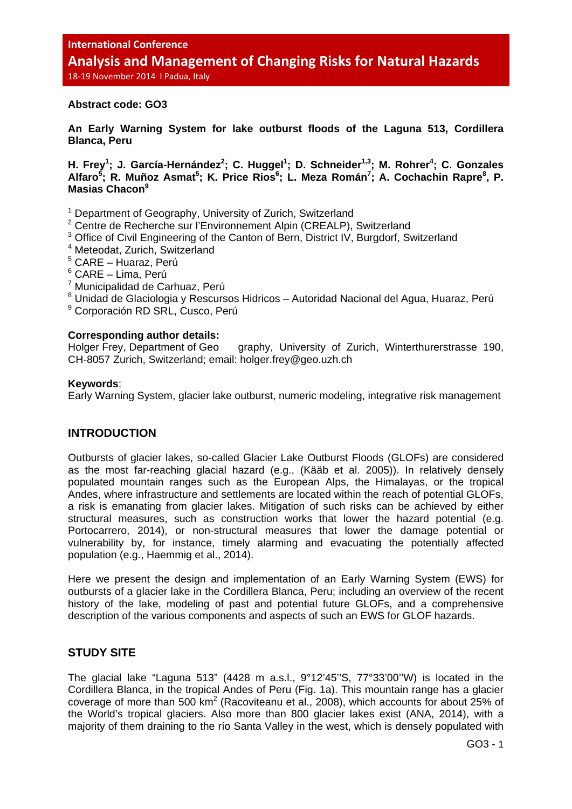### **Abstract code: GO3**

**An Early Warning System for lake outburst floods of the Laguna 513, Cordillera Blanca, Peru** 

H. Frey<sup>1</sup>; J. García-Hernández<sup>2</sup>; C. Huggel<sup>1</sup>; D. Schneider<sup>1,3</sup>; M. Rohrer<sup>4</sup>; C. Gonzales Alfaro<sup>5</sup>; R. Muñoz Asmat<sup>5</sup>; K. Price Rios<sup>6</sup>; L. Meza Román<sup>7</sup>; A. Cochachin Rapre<sup>8</sup>, P. **Masias Chacon<sup>9</sup>**

<sup>1</sup> Department of Geography, University of Zurich, Switzerland

- <sup>2</sup> Centre de Recherche sur l'Environnement Alpin (CREALP), Switzerland
- <sup>3</sup> Office of Civil Engineering of the Canton of Bern, District IV, Burgdorf, Switzerland
- 4 Meteodat, Zurich, Switzerland
- 5 CARE Huaraz, Perú
- 6 CARE Lima, Perú
- <sup>7</sup> Municipalidad de Carhuaz, Perú
- <sup>8</sup> Unidad de Glaciologia y Rescursos Hidricos Autoridad Nacional del Agua, Huaraz, Perú
- 9 Corporación RD SRL, Cusco, Perú

### **Corresponding author details:**

Holger Frey, Department of Geo graphy, University of Zurich, Winterthurerstrasse 190, CH-8057 Zurich, Switzerland; email: holger.frey@geo.uzh.ch

### **Keywords**:

Early Warning System, glacier lake outburst, numeric modeling, integrative risk management

## **INTRODUCTION**

Outbursts of glacier lakes, so-called Glacier Lake Outburst Floods (GLOFs) are considered as the most far-reaching glacial hazard (e.g., (Kääb et al. 2005)). In relatively densely populated mountain ranges such as the European Alps, the Himalayas, or the tropical Andes, where infrastructure and settlements are located within the reach of potential GLOFs, a risk is emanating from glacier lakes. Mitigation of such risks can be achieved by either structural measures, such as construction works that lower the hazard potential (e.g. Portocarrero, 2014), or non-structural measures that lower the damage potential or vulnerability by, for instance, timely alarming and evacuating the potentially affected population (e.g., Haemmig et al., 2014).

Here we present the design and implementation of an Early Warning System (EWS) for outbursts of a glacier lake in the Cordillera Blanca, Peru; including an overview of the recent history of the lake, modeling of past and potential future GLOFs, and a comprehensive description of the various components and aspects of such an EWS for GLOF hazards.

# **STUDY SITE**

The glacial lake "Laguna 513" (4428 m a.s.l., 9°12'45''S, 77°33'00''W) is located in the Cordillera Blanca, in the tropical Andes of Peru (Fig. 1a). This mountain range has a glacier coverage of more than 500  $km^2$  (Racoviteanu et al., 2008), which accounts for about 25% of the World's tropical glaciers. Also more than 800 glacier lakes exist (ANA, 2014), with a majority of them draining to the río Santa Valley in the west, which is densely populated with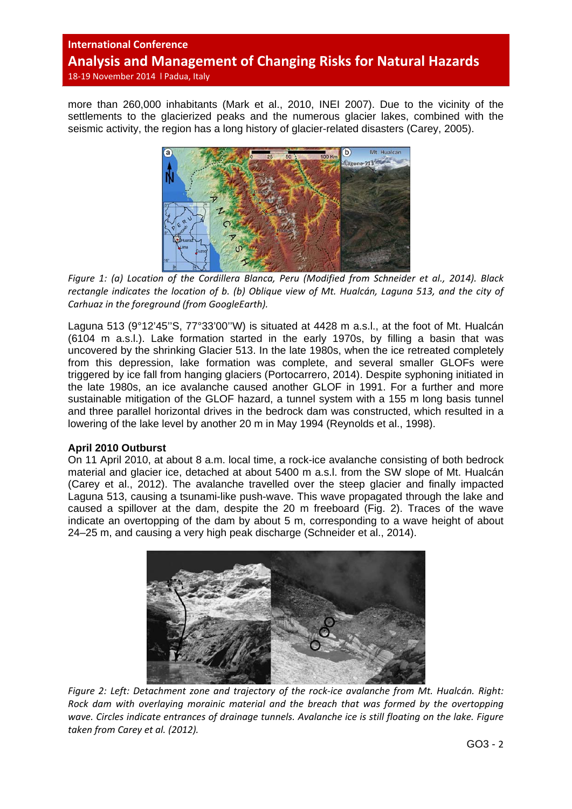more than 260,000 inhabitants (Mark et al., 2010, INEI 2007). Due to the vicinity of the settlements to the glacierized peaks and the numerous glacier lakes, combined with the seismic activity, the region has a long history of glacier-related disasters (Carey, 2005).



*Figure 1: (a) Location of the Cordillera Blanca, Peru (Modified from Schneider et al., 2014). Black* rectangle indicates the location of b. (b) Obligue view of Mt. Hualcán, Laguna 513, and the city of *Carhuaz in the foreground (from GoogleEarth).*

Laguna 513 (9°12'45''S, 77°33'00''W) is situated at 4428 m a.s.l., at the foot of Mt. Hualcán (6104 m a.s.l.). Lake formation started in the early 1970s, by filling a basin that was uncovered by the shrinking Glacier 513. In the late 1980s, when the ice retreated completely from this depression, lake formation was complete, and several smaller GLOFs were triggered by ice fall from hanging glaciers (Portocarrero, 2014). Despite syphoning initiated in the late 1980s, an ice avalanche caused another GLOF in 1991. For a further and more sustainable mitigation of the GLOF hazard, a tunnel system with a 155 m long basis tunnel and three parallel horizontal drives in the bedrock dam was constructed, which resulted in a lowering of the lake level by another 20 m in May 1994 (Reynolds et al., 1998).

## **April 2010 Outburst**

On 11 April 2010, at about 8 a.m. local time, a rock-ice avalanche consisting of both bedrock material and glacier ice, detached at about 5400 m a.s.l. from the SW slope of Mt. Hualcán (Carey et al., 2012). The avalanche travelled over the steep glacier and finally impacted Laguna 513, causing a tsunami-like push-wave. This wave propagated through the lake and caused a spillover at the dam, despite the 20 m freeboard (Fig. 2). Traces of the wave indicate an overtopping of the dam by about 5 m, corresponding to a wave height of about 24–25 m, and causing a very high peak discharge (Schneider et al., 2014).



*Figure 2: Left: Detachment zone and trajectory of the rock‐ice avalanche from Mt. Hualcán. Right: Rock dam with overlaying morainic material and the breach that was formed by the overtopping wave. Circles indicate entrances of drainage tunnels. Avalanche ice is still floating on the lake. Figure taken from Carey et al. (2012).*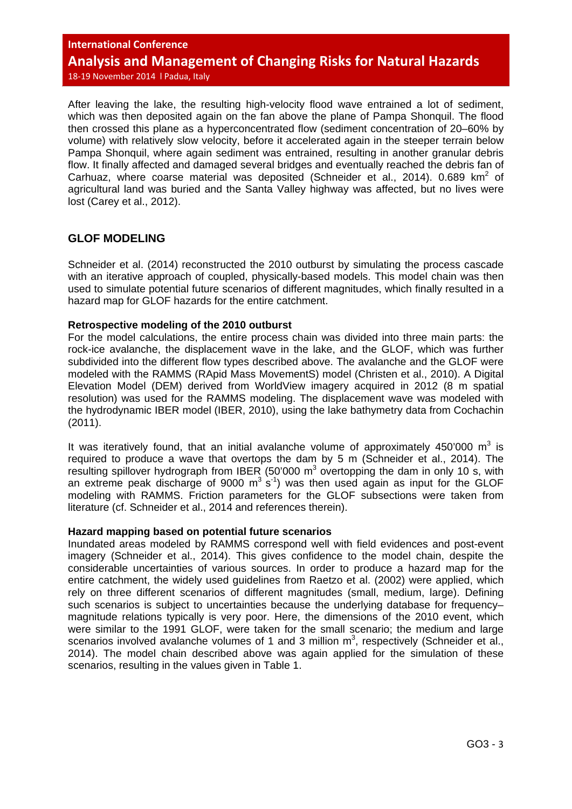After leaving the lake, the resulting high-velocity flood wave entrained a lot of sediment, which was then deposited again on the fan above the plane of Pampa Shonquil. The flood then crossed this plane as a hyperconcentrated flow (sediment concentration of 20–60% by volume) with relatively slow velocity, before it accelerated again in the steeper terrain below Pampa Shonquil, where again sediment was entrained, resulting in another granular debris flow. It finally affected and damaged several bridges and eventually reached the debris fan of Carhuaz, where coarse material was deposited (Schneider et al., 2014).  $0.689 \text{ km}^2$  of agricultural land was buried and the Santa Valley highway was affected, but no lives were lost (Carey et al., 2012).

# **GLOF MODELING**

Schneider et al. (2014) reconstructed the 2010 outburst by simulating the process cascade with an iterative approach of coupled, physically-based models. This model chain was then used to simulate potential future scenarios of different magnitudes, which finally resulted in a hazard map for GLOF hazards for the entire catchment.

### **Retrospective modeling of the 2010 outburst**

For the model calculations, the entire process chain was divided into three main parts: the rock-ice avalanche, the displacement wave in the lake, and the GLOF, which was further subdivided into the different flow types described above. The avalanche and the GLOF were modeled with the RAMMS (RApid Mass MovementS) model (Christen et al., 2010). A Digital Elevation Model (DEM) derived from WorldView imagery acquired in 2012 (8 m spatial resolution) was used for the RAMMS modeling. The displacement wave was modeled with the hydrodynamic IBER model (IBER, 2010), using the lake bathymetry data from Cochachin (2011).

It was iteratively found, that an initial avalanche volume of approximately 450'000  $m^3$  is required to produce a wave that overtops the dam by 5 m (Schneider et al., 2014). The resulting spillover hydrograph from IBER (50'000  $m<sup>3</sup>$  overtopping the dam in only 10 s, with an extreme peak discharge of 9000  $m^3$  s<sup>-1</sup>) was then used again as input for the GLOF modeling with RAMMS. Friction parameters for the GLOF subsections were taken from literature (cf. Schneider et al., 2014 and references therein).

### **Hazard mapping based on potential future scenarios**

Inundated areas modeled by RAMMS correspond well with field evidences and post-event imagery (Schneider et al., 2014). This gives confidence to the model chain, despite the considerable uncertainties of various sources. In order to produce a hazard map for the entire catchment, the widely used guidelines from Raetzo et al. (2002) were applied, which rely on three different scenarios of different magnitudes (small, medium, large). Defining such scenarios is subject to uncertainties because the underlying database for frequencymagnitude relations typically is very poor. Here, the dimensions of the 2010 event, which were similar to the 1991 GLOF, were taken for the small scenario; the medium and large scenarios involved avalanche volumes of 1 and 3 million  $m^3$ , respectively (Schneider et al., 2014). The model chain described above was again applied for the simulation of these scenarios, resulting in the values given in Table 1.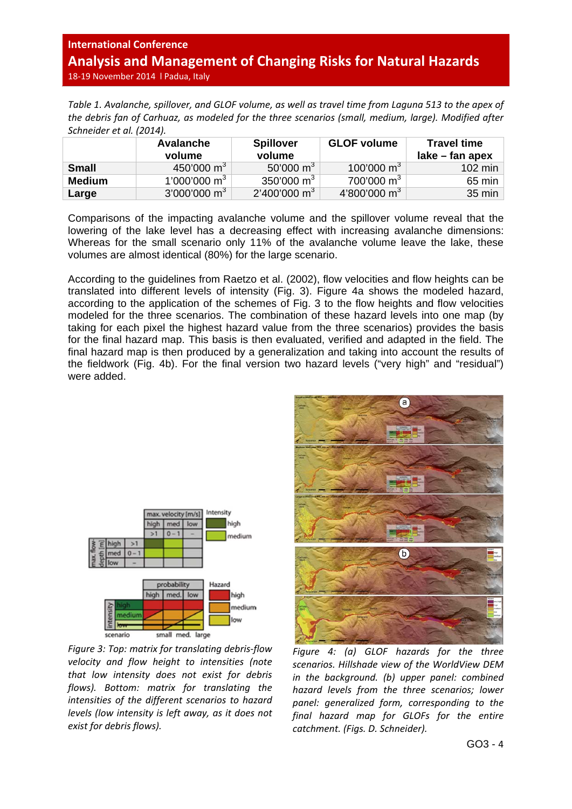Table 1. Avalanche, spillover, and GLOF volume, as well as travel time from Laguna 513 to the apex of *the debris fan of Carhuaz, as modeled for the three scenarios (small, medium, large). Modified after Schneider et al. (2014).*

|              | <b>Avalanche</b><br>volume | <b>Spillover</b><br>volume | <b>GLOF volume</b>       | <b>Travel time</b><br>$lake - fan apex$ |
|--------------|----------------------------|----------------------------|--------------------------|-----------------------------------------|
| <b>Small</b> | 450'000 m <sup>3</sup>     | 50'000 m <sup>3</sup>      | 100'000 m <sup>3</sup>   | 102 min                                 |
| Medium       | 1'000'000 m <sup>3</sup>   | $350'000 \text{ m}^3$      | $700'000 \text{ m}^3$    | $65$ min                                |
| Large        | $3'000'000 \text{ m}^3$    | $2'400'000 \text{ m}^3$    | 4'800'000 m <sup>3</sup> | 35 min                                  |

Comparisons of the impacting avalanche volume and the spillover volume reveal that the lowering of the lake level has a decreasing effect with increasing avalanche dimensions: Whereas for the small scenario only 11% of the avalanche volume leave the lake, these volumes are almost identical (80%) for the large scenario.

According to the guidelines from Raetzo et al. (2002), flow velocities and flow heights can be translated into different levels of intensity (Fig. 3). Figure 4a shows the modeled hazard, according to the application of the schemes of Fig. 3 to the flow heights and flow velocities modeled for the three scenarios. The combination of these hazard levels into one map (by taking for each pixel the highest hazard value from the three scenarios) provides the basis for the final hazard map. This basis is then evaluated, verified and adapted in the field. The final hazard map is then produced by a generalization and taking into account the results of the fieldwork (Fig. 4b). For the final version two hazard levels ("very high" and "residual") were added.



*Figure 3: Top: matrix for translating debris‐flow velocity and flow height to intensities (note that low intensity does not exist for debris flows). Bottom: matrix for translating the intensities of the different scenarios to hazard levels (low intensity is left away, as it does not exist for debris flows).*



*Figure 4: (a) GLOF hazards for the three scenarios. Hillshade view of the WorldView DEM in the background. (b) upper panel: combined hazard levels from the three scenarios; lower panel: generalized form, corresponding to the final hazard map for GLOFs for the entire catchment. (Figs. D. Schneider).*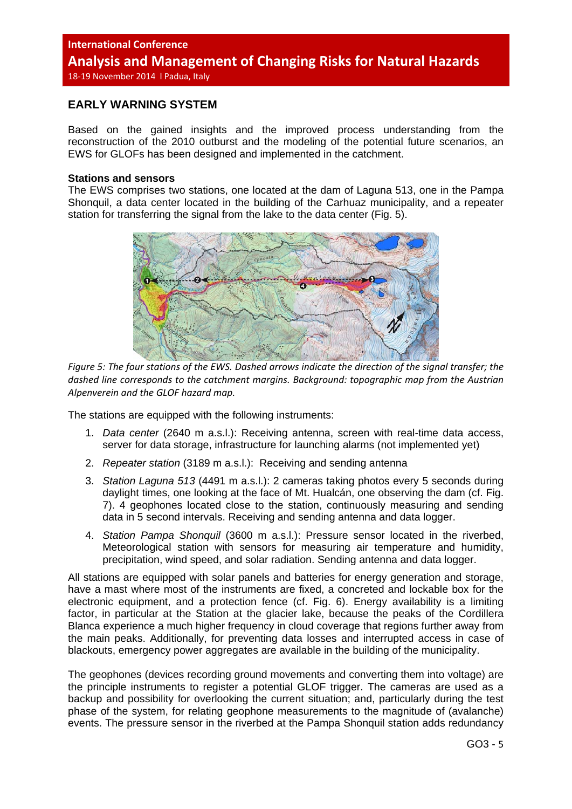## **EARLY WARNING SYSTEM**

Based on the gained insights and the improved process understanding from the reconstruction of the 2010 outburst and the modeling of the potential future scenarios, an EWS for GLOFs has been designed and implemented in the catchment.

#### **Stations and sensors**

The EWS comprises two stations, one located at the dam of Laguna 513, one in the Pampa Shonquil, a data center located in the building of the Carhuaz municipality, and a repeater station for transferring the signal from the lake to the data center (Fig. 5).



Figure 5: The four stations of the EWS. Dashed arrows indicate the direction of the signal transfer: the *dashed line corresponds to the catchment margins. Background: topographic map from the Austrian Alpenverein and the GLOF hazard map.*

The stations are equipped with the following instruments:

- 1. *Data center* (2640 m a.s.l.): Receiving antenna, screen with real-time data access, server for data storage, infrastructure for launching alarms (not implemented yet)
- 2. *Repeater station* (3189 m a.s.l.): Receiving and sending antenna
- 3. *Station Laguna 513* (4491 m a.s.l.): 2 cameras taking photos every 5 seconds during daylight times, one looking at the face of Mt. Hualcán, one observing the dam (cf. Fig. 7). 4 geophones located close to the station, continuously measuring and sending data in 5 second intervals. Receiving and sending antenna and data logger.
- 4. *Station Pampa Shonquil* (3600 m a.s.l.): Pressure sensor located in the riverbed, Meteorological station with sensors for measuring air temperature and humidity, precipitation, wind speed, and solar radiation. Sending antenna and data logger.

All stations are equipped with solar panels and batteries for energy generation and storage, have a mast where most of the instruments are fixed, a concreted and lockable box for the electronic equipment, and a protection fence (cf. Fig. 6). Energy availability is a limiting factor, in particular at the Station at the glacier lake, because the peaks of the Cordillera Blanca experience a much higher frequency in cloud coverage that regions further away from the main peaks. Additionally, for preventing data losses and interrupted access in case of blackouts, emergency power aggregates are available in the building of the municipality.

The geophones (devices recording ground movements and converting them into voltage) are the principle instruments to register a potential GLOF trigger. The cameras are used as a backup and possibility for overlooking the current situation; and, particularly during the test phase of the system, for relating geophone measurements to the magnitude of (avalanche) events. The pressure sensor in the riverbed at the Pampa Shonquil station adds redundancy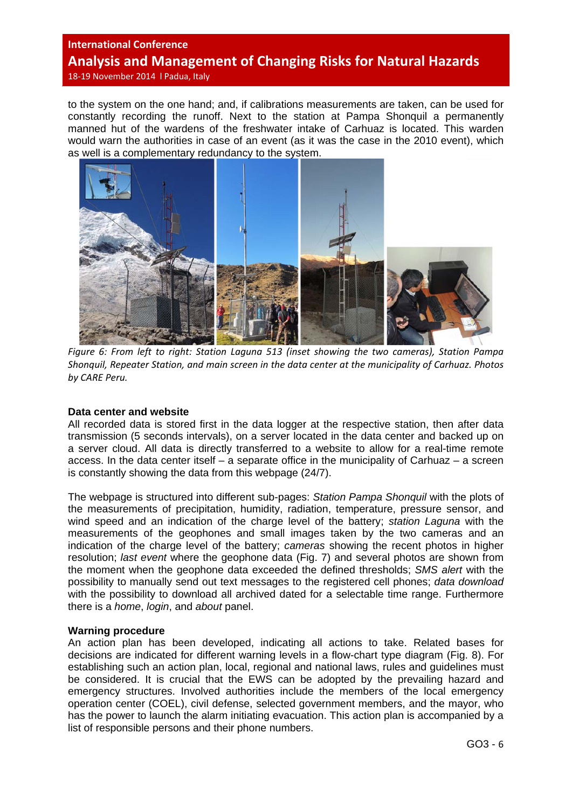to the system on the one hand; and, if calibrations measurements are taken, can be used for constantly recording the runoff. Next to the station at Pampa Shonquil a permanently manned hut of the wardens of the freshwater intake of Carhuaz is located. This warden would warn the authorities in case of an event (as it was the case in the 2010 event), which as well is a complementary redundancy to the system.



*Figure 6: From left to right: Station Laguna 513 (inset showing the two cameras), Station Pampa Shonquil, Repeater Station, and main screen in the data center at the municipality of Carhuaz. Photos by CARE Peru.*

### **Data center and website**

All recorded data is stored first in the data logger at the respective station, then after data transmission (5 seconds intervals), on a server located in the data center and backed up on a server cloud. All data is directly transferred to a website to allow for a real-time remote access. In the data center itself – a separate office in the municipality of Carhuaz – a screen is constantly showing the data from this webpage (24/7).

The webpage is structured into different sub-pages: *Station Pampa Shonquil* with the plots of the measurements of precipitation, humidity, radiation, temperature, pressure sensor, and wind speed and an indication of the charge level of the battery; *station Laguna* with the measurements of the geophones and small images taken by the two cameras and an indication of the charge level of the battery; *cameras* showing the recent photos in higher resolution; *last event* where the geophone data (Fig. 7) and several photos are shown from the moment when the geophone data exceeded the defined thresholds; *SMS alert* with the possibility to manually send out text messages to the registered cell phones; *data download*  with the possibility to download all archived dated for a selectable time range. Furthermore there is a *home*, *login*, and *about* panel.

## **Warning procedure**

An action plan has been developed, indicating all actions to take. Related bases for decisions are indicated for different warning levels in a flow-chart type diagram (Fig. 8). For establishing such an action plan, local, regional and national laws, rules and guidelines must be considered. It is crucial that the EWS can be adopted by the prevailing hazard and emergency structures. Involved authorities include the members of the local emergency operation center (COEL), civil defense, selected government members, and the mayor, who has the power to launch the alarm initiating evacuation. This action plan is accompanied by a list of responsible persons and their phone numbers.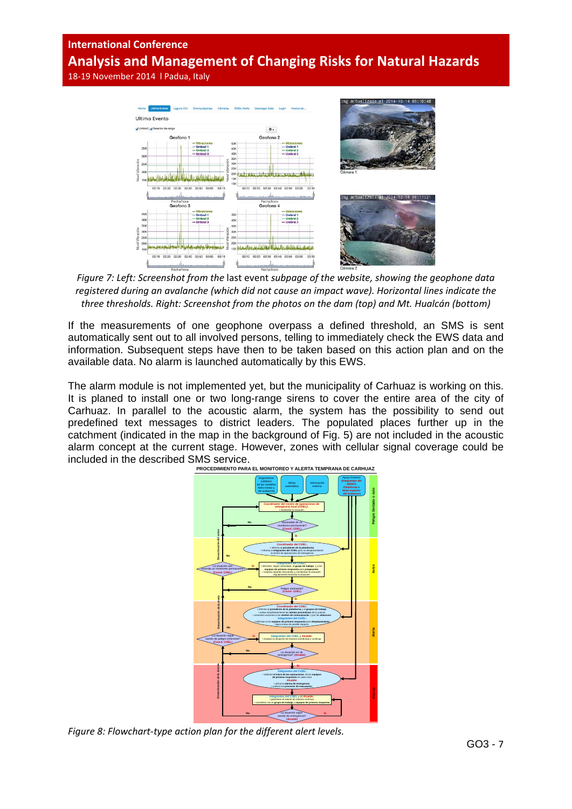## **International Conference**

**Analysis and Management of Changing Risks for Natural Hazards** 

18‐19 November 2014 l Padua, Italy



*Figure 7: Left: Screenshot from the* last event *subpage of the website, showing the geophone data registered during an avalanche (which did not cause an impact wave). Horizontal lines indicate the three thresholds. Right: Screenshot from the photos on the dam (top) and Mt. Hualcán (bottom)*

If the measurements of one geophone overpass a defined threshold, an SMS is sent automatically sent out to all involved persons, telling to immediately check the EWS data and information. Subsequent steps have then to be taken based on this action plan and on the available data. No alarm is launched automatically by this EWS.

The alarm module is not implemented yet, but the municipality of Carhuaz is working on this. It is planed to install one or two long-range sirens to cover the entire area of the city of Carhuaz. In parallel to the acoustic alarm, the system has the possibility to send out predefined text messages to district leaders. The populated places further up in the catchment (indicated in the map in the background of Fig. 5) are not included in the acoustic alarm concept at the current stage. However, zones with cellular signal coverage could be included in the described SMS service.



*Figure 8: Flowchart‐type action plan for the different alert levels.*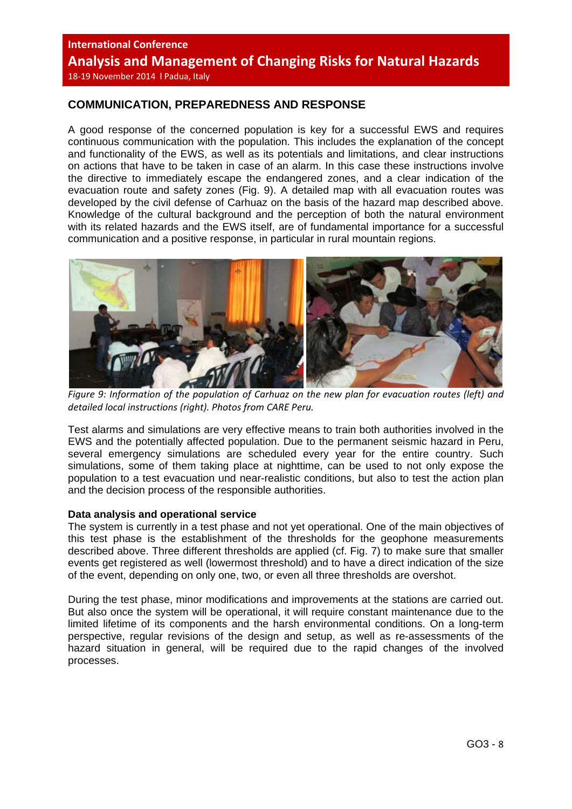# **COMMUNICATION, PREPAREDNESS AND RESPONSE**

A good response of the concerned population is key for a successful EWS and requires continuous communication with the population. This includes the explanation of the concept and functionality of the EWS, as well as its potentials and limitations, and clear instructions on actions that have to be taken in case of an alarm. In this case these instructions involve the directive to immediately escape the endangered zones, and a clear indication of the evacuation route and safety zones (Fig. 9). A detailed map with all evacuation routes was developed by the civil defense of Carhuaz on the basis of the hazard map described above. Knowledge of the cultural background and the perception of both the natural environment with its related hazards and the EWS itself, are of fundamental importance for a successful communication and a positive response, in particular in rural mountain regions.



*Figure 9: Information of the population of Carhuaz on the new plan for evacuation routes (left) and detailed local instructions (right). Photos from CARE Peru.*

Test alarms and simulations are very effective means to train both authorities involved in the EWS and the potentially affected population. Due to the permanent seismic hazard in Peru, several emergency simulations are scheduled every year for the entire country. Such simulations, some of them taking place at nighttime, can be used to not only expose the population to a test evacuation und near-realistic conditions, but also to test the action plan and the decision process of the responsible authorities.

### **Data analysis and operational service**

The system is currently in a test phase and not yet operational. One of the main objectives of this test phase is the establishment of the thresholds for the geophone measurements described above. Three different thresholds are applied (cf. Fig. 7) to make sure that smaller events get registered as well (lowermost threshold) and to have a direct indication of the size of the event, depending on only one, two, or even all three thresholds are overshot.

During the test phase, minor modifications and improvements at the stations are carried out. But also once the system will be operational, it will require constant maintenance due to the limited lifetime of its components and the harsh environmental conditions. On a long-term perspective, regular revisions of the design and setup, as well as re-assessments of the hazard situation in general, will be required due to the rapid changes of the involved processes.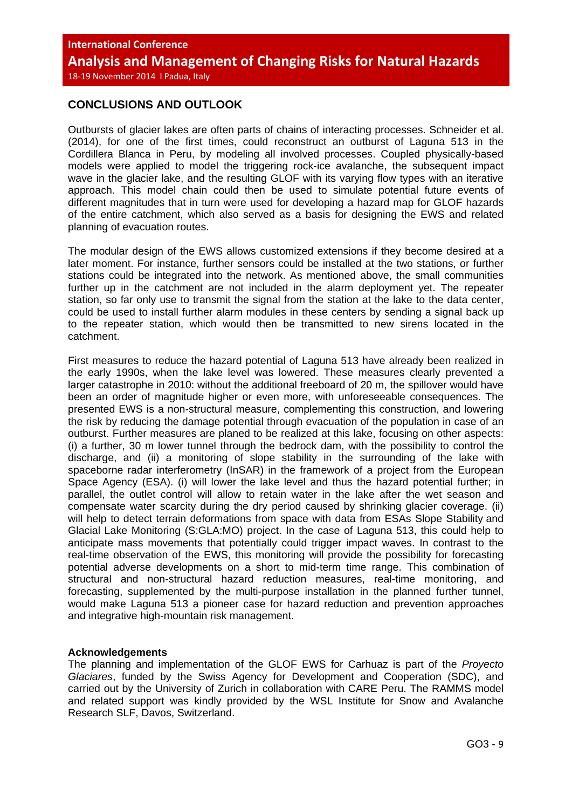# **CONCLUSIONS AND OUTLOOK**

Outbursts of glacier lakes are often parts of chains of interacting processes. Schneider et al. (2014), for one of the first times, could reconstruct an outburst of Laguna 513 in the Cordillera Blanca in Peru, by modeling all involved processes. Coupled physically-based models were applied to model the triggering rock-ice avalanche, the subsequent impact wave in the glacier lake, and the resulting GLOF with its varying flow types with an iterative approach. This model chain could then be used to simulate potential future events of different magnitudes that in turn were used for developing a hazard map for GLOF hazards of the entire catchment, which also served as a basis for designing the EWS and related planning of evacuation routes.

The modular design of the EWS allows customized extensions if they become desired at a later moment. For instance, further sensors could be installed at the two stations, or further stations could be integrated into the network. As mentioned above, the small communities further up in the catchment are not included in the alarm deployment yet. The repeater station, so far only use to transmit the signal from the station at the lake to the data center, could be used to install further alarm modules in these centers by sending a signal back up to the repeater station, which would then be transmitted to new sirens located in the catchment.

First measures to reduce the hazard potential of Laguna 513 have already been realized in the early 1990s, when the lake level was lowered. These measures clearly prevented a larger catastrophe in 2010: without the additional freeboard of 20 m, the spillover would have been an order of magnitude higher or even more, with unforeseeable consequences. The presented EWS is a non-structural measure, complementing this construction, and lowering the risk by reducing the damage potential through evacuation of the population in case of an outburst. Further measures are planed to be realized at this lake, focusing on other aspects: (i) a further, 30 m lower tunnel through the bedrock dam, with the possibility to control the discharge, and (ii) a monitoring of slope stability in the surrounding of the lake with spaceborne radar interferometry (InSAR) in the framework of a project from the European Space Agency (ESA). (i) will lower the lake level and thus the hazard potential further; in parallel, the outlet control will allow to retain water in the lake after the wet season and compensate water scarcity during the dry period caused by shrinking glacier coverage. (ii) will help to detect terrain deformations from space with data from ESAs Slope Stability and Glacial Lake Monitoring (S:GLA:MO) project. In the case of Laguna 513, this could help to anticipate mass movements that potentially could trigger impact waves. In contrast to the real-time observation of the EWS, this monitoring will provide the possibility for forecasting potential adverse developments on a short to mid-term time range. This combination of structural and non-structural hazard reduction measures, real-time monitoring, and forecasting, supplemented by the multi-purpose installation in the planned further tunnel, would make Laguna 513 a pioneer case for hazard reduction and prevention approaches and integrative high-mountain risk management.

## **Acknowledgements**

The planning and implementation of the GLOF EWS for Carhuaz is part of the *Proyecto Glaciares*, funded by the Swiss Agency for Development and Cooperation (SDC), and carried out by the University of Zurich in collaboration with CARE Peru. The RAMMS model and related support was kindly provided by the WSL Institute for Snow and Avalanche Research SLF, Davos, Switzerland.